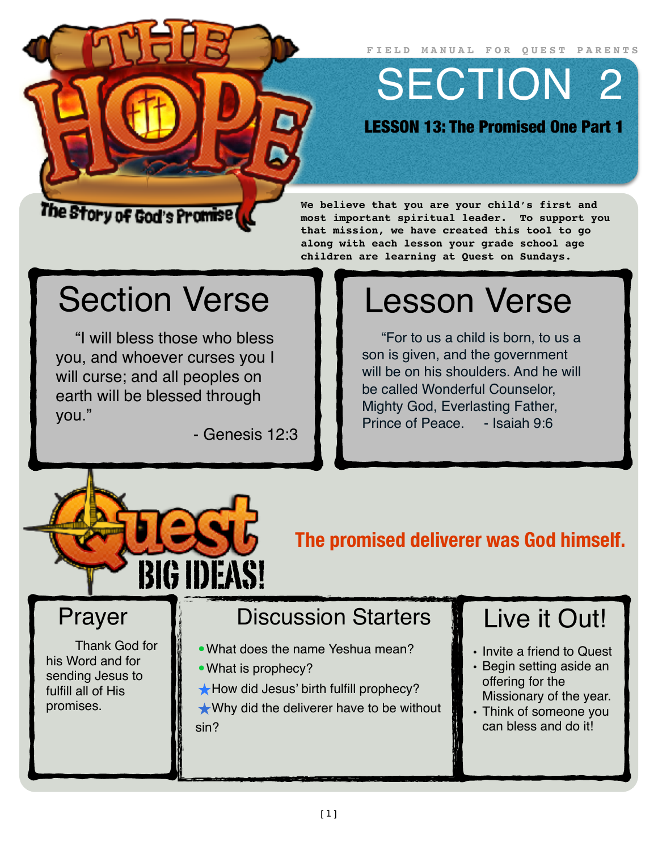**FIELD MANUAL FOR QUEST PARENTS**

SECTION 2

LESSON 13: The Promised One Part 1

#### The Story of God's Promise (

#### **We believe that you are your child's first and most important spiritual leader. To support you that mission, we have created this tool to go along with each lesson your grade school age children are learning at Quest on Sundays.**

## Section Verse

"I will bless those who bless you, and whoever curses you I will curse; and all peoples on earth will be blessed through you."

- Genesis 12:3

# Lesson Verse

"For to us a child is born, to us a son is given, and the government will be on his shoulders. And he will be called Wonderful Counselor, Mighty God, Everlasting Father, Prince of Peace. - Isaiah 9:6



**The promised deliverer was God himself.**

#### Prayer

Thank God for his Word and for sending Jesus to fulfill all of His promises.

### Discussion Starters

- •What does the name Yeshua mean?
- What is prophecy?
- ★How did Jesus' birth fulfill prophecy?

★Why did the deliverer have to be without sin?

### Live it Out!

- Invite a friend to Quest
- Begin setting aside an offering for the Missionary of the year.
- Think of someone you can bless and do it!